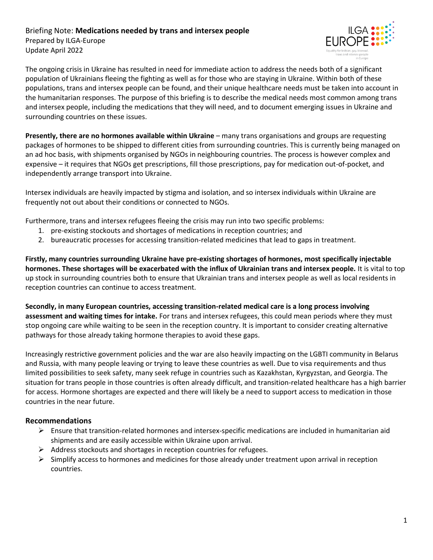## Briefing Note: **Medications needed by trans and intersex people** Prepared by ILGA-Europe Update April 2022



The ongoing crisis in Ukraine has resulted in need for immediate action to address the needs both of a significant population of Ukrainians fleeing the fighting as well as for those who are staying in Ukraine. Within both of these populations, trans and intersex people can be found, and their unique healthcare needs must be taken into account in the humanitarian responses. The purpose of this briefing is to describe the medical needs most common among trans and intersex people, including the medications that they will need, and to document emerging issues in Ukraine and surrounding countries on these issues.

**Presently, there are no hormones available within Ukraine** – many trans organisations and groups are requesting packages of hormones to be shipped to different cities from surrounding countries. This is currently being managed on an ad hoc basis, with shipments organised by NGOs in neighbouring countries. The process is however complex and expensive – it requires that NGOs get prescriptions, fill those prescriptions, pay for medication out-of-pocket, and independently arrange transport into Ukraine.

Intersex individuals are heavily impacted by stigma and isolation, and so intersex individuals within Ukraine are frequently not out about their conditions or connected to NGOs.

Furthermore, trans and intersex refugees fleeing the crisis may run into two specific problems:

- 1. pre-existing stockouts and shortages of medications in reception countries; and
- 2. bureaucratic processes for accessing transition-related medicines that lead to gaps in treatment.

**Firstly, many countries surrounding Ukraine have pre-existing shortages of hormones, most specifically injectable hormones. These shortages will be exacerbated with the influx of Ukrainian trans and intersex people.** It is vital to top up stock in surrounding countries both to ensure that Ukrainian trans and intersex people as well as local residents in reception countries can continue to access treatment.

**Secondly, in many European countries, accessing transition-related medical care is a long process involving assessment and waiting times for intake.** For trans and intersex refugees, this could mean periods where they must stop ongoing care while waiting to be seen in the reception country. It is important to consider creating alternative pathways for those already taking hormone therapies to avoid these gaps.

Increasingly restrictive government policies and the war are also heavily impacting on the LGBTI community in Belarus and Russia, with many people leaving or trying to leave these countries as well. Due to visa requirements and thus limited possibilities to seek safety, many seek refuge in countries such as Kazakhstan, Kyrgyzstan, and Georgia. The situation for trans people in those countries is often already difficult, and transition-related healthcare has a high barrier for access. Hormone shortages are expected and there will likely be a need to support access to medication in those countries in the near future.

## **Recommendations**

- ➢ Ensure that transition-related hormones and intersex-specific medications are included in humanitarian aid shipments and are easily accessible within Ukraine upon arrival.
- $\triangleright$  Address stockouts and shortages in reception countries for refugees.
- $\triangleright$  Simplify access to hormones and medicines for those already under treatment upon arrival in reception countries.